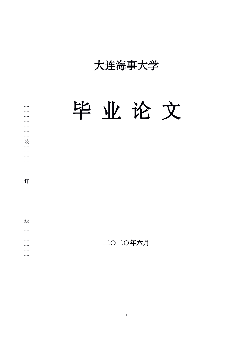大连海事大学

毕 业 论 文 ○ 大连海<br>○ 中<br>○ 中<br>○ 中 ┊┊┊┊┊┊┊订

二○二○年六月

┊┊┊┊┊┊┊线 ┊┊┊┊┊┊┊ $\frac{1}{2}$  $\overline{\phantom{a}}$  $\overline{\phantom{a}}$  $\sim$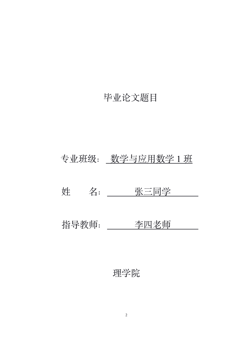# 毕业论文题目

# 专业班级: 数学与应用数学 1 班

姓 名: 张三同学

指导教师: \_\_\_\_\_ 李四老师

# 理学院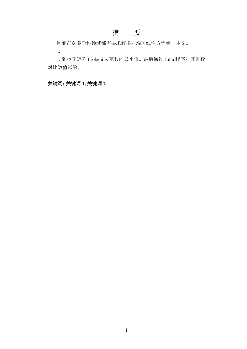## 摘 要

目前在众多学科领域都需要求解多右端项线性方程组,本文..

.. 到校正矩阵 Frobenius 范数的最小值。最后通过 Julia 程序对其进行 对比数值试验。

### 关键词**:** 关键词 **1,** 关键词 **2**

..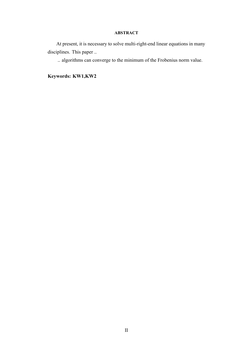#### **ABSTRACT**

At present, it is necessary to solve multi-right-end linear equations in many disciplines. This paper ..

.. algorithms can converge to the minimum of the Frobenius norm value.

**Keywords: KW1,KW2**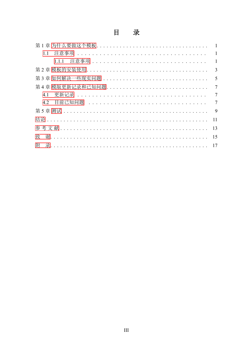#### 目 录

| 11                                           |                |
|----------------------------------------------|----------------|
|                                              |                |
|                                              |                |
|                                              |                |
|                                              |                |
| 4.1                                          | $\overline{7}$ |
| 4.2 目前已知问题 ................................. | $\tau$         |
|                                              |                |
|                                              | 11             |
|                                              | 13             |
| 致                                            | 15             |
| 附                                            |                |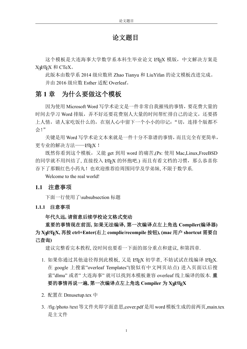## 论文题目

这个模板是大连海事大学数学系本科生毕业论文 LATEX 模版,中文解决方案是 XਜੁITEX 和 CTeX。

此版本由数学系 2014 级应数班 Zhao Tianyu 和 LiuYifan 的论文模板改进完成。 并由 2016 级应数 Esther 适配 Overleaf。

### <span id="page-5-0"></span>第 **1** 章 为什么要做这个模板

因为使用 Microsoft Word 写学术论文是一件非常自我摧残的事情,要花费大量的 时间去学习 Word 排版,弄不好还要花费别人大量的时间帮忙排自己的论文,还要搭 上人情,请人家吃饭什么的,在别人心中留下一个小小的印记:"切,连排个版都不 会!"

关键是用 Word 写学术论文本来就是一件十分不靠谱的事情,而且完全有更简单, 更专业的解决方法——LATFX !

既然你看到这个模板,又能 get 到用 word 的痛苦,(Ps: 使用 Mac,Linux,FreeBSD 的同学就不用纠结了, 直接投入 LATEX 的怀抱吧.) 而且有看文档的习惯, 那么恭喜你 吞下了那颗红色小药丸!也欢迎推荐给周围同学及学弟妹, 不限于数学系.

Welcome to the real world!

#### <span id="page-5-1"></span>**1.1** 注意事项

下面一行使用了\subsubsection 标题

<span id="page-5-2"></span>**1.1.1** 注意事项

#### 年代久远**,** 请留意后续学校论文格式变动

### 重要的事情现在前面**,** 如果无法编译**,** 第一次编译点左上角选 **Compiler(**编译器**)** 为 **X L<sup>E</sup> <sup>A</sup>TEX,** 再按 **ctrl+Enter(**右上 **complie/recompile** 按钮**), (mac** 用户 **shortcut** 需要自 己查询**)**

建议完整看完本教程, 没时间也要看一下面的部分重点和建议, 和第四章.

- 1. 如果你通过其他途径得到此模板, 又是 LATFX 初学者, 不妨试试在线编译 LATFX. 在 google 上搜索"overleaf Templates"(貌似有中文网页站点) 进入页面以后搜 索"dlmu" 或者" 大连海事" 就可以找到本模板兼容 overleaf 线上编译的版本. 重 要的事情再说一遍**,** 第一次编译点左上角选 **Compiler** 为 **X L<sup>E</sup> <sup>A</sup>TEX**
- 2. 配置在 Dmusetup.tex 中
- 3. /fig /photo /text等文件夹即字面意思,cover.pdf是用word 模板生成的前两页,main.tex 是主文件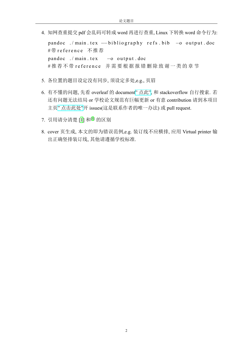4. 知网查重提交 pdf 会乱码可转成 word 再进行查重, Linux 下转换 word 命令行为:

pandoc ./main.tex --bibliography refs.bib -o output.doc #带 reference 不推荐 pandoc ./main.tex -o output .doc  $#$  推荐不带 reference 并需要根据报错删除致谢一类的章节

- 5. 各位置的题目设定没有同步, 须设定多处,e.g., 页眉
- 6. 有不懂的问题, 先看 overleaf 的 document" [点此](https://www.overleaf.com/learn)", 和 stackoverflow 自行搜索. 若 还有问题无法结局 or 学校论文规范有巨幅更新 or 有意 contribution 请到本项目 主页" [点击此处](https://github.com/XWEster97/DLMU-Bachelor-Thesis-Template)"开 issues(这是联系作者的唯一办法) 或 pull request.
- 7. 引用请分清楚 [[1\]](#page-17-0) 和[[1\]](#page-17-0) 的区别
- 8. cover 页生成, 本文的即为错误范例,e.g. 装订线不应横排, 应用 Virtual printer 输 出正确竖排装订线, 其他请遵循学校标准.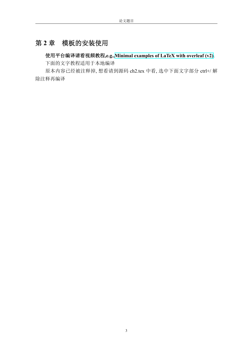## <span id="page-7-0"></span>第 **2** 章 模板的安装使用

## 使用平台编译请看视频教程**,e.g.[,Minimal examples of LaTeX with overleaf \(v2\)](https://www.youtube.com/playlist?list=PLnC5h3PY-znyDQKn3knfXfekZLgWyL7QW)**.

下面的文字教程适用于本地编译

原本内容已经被注释掉, 想看请到源码 ch2.tex 中看, 选中下面文字部分 ctrl+/ 解 除注释再编译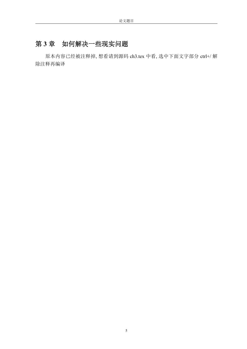# <span id="page-9-0"></span>第 **3** 章 如何解决一些现实问题

原本内容已经被注释掉, 想看请到源码 ch3.tex 中看, 选中下面文字部分 ctrl+/ 解 除注释再编译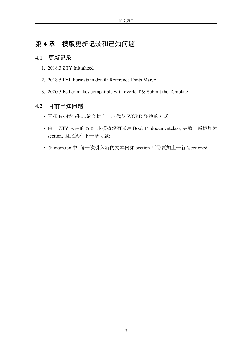## <span id="page-11-0"></span>第 **4** 章 模版更新记录和已知问题

#### <span id="page-11-1"></span>**4.1** 更新记录

- 1. 2018.3 ZTY Initialized
- 2. 2018.5 LYF Formats in detail: Reference Fonts Marco
- 3. 2020.5 Esther makes compatible with overleaf & Submit the Template

### <span id="page-11-2"></span>**4.2** 目前已知问题

- 直接 tex 代码生成论文封面, 取代从 WORD 转换的方式。
- 由于 ZTY 大神的另类, 本模板没有采用 Book 的 documentclass, 导致一级标题为 section, 因此就有下一条问题:
- 在 main.tex 中, 每一次引入新的文本例如 section 后需要加上一行 \sectioned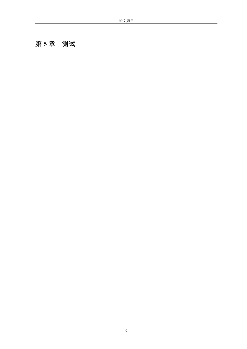# <span id="page-13-0"></span>第 **5** 章 测试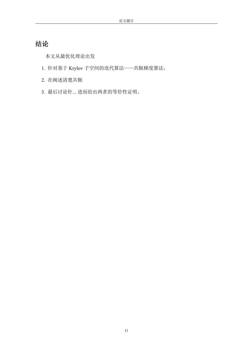# <span id="page-15-0"></span>结论

本文从最优化理论出发

- 1. 针对基于 Krylov 子空间的迭代算法——共轭梯度算法,
- 2. 在阐述清楚共轭
- <span id="page-15-1"></span>3. 最后讨论针... 进而给出两者的等价性证明。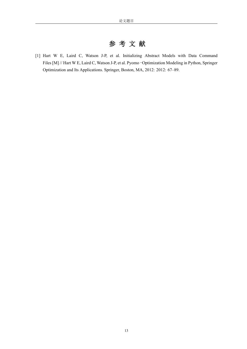# 参 考 文 献

<span id="page-17-0"></span>[1] Hart W E, Laird C, Watson J-P, et al. Initializing Abstract Models with Data Command Files [M] // Hart W E, Laird C, Watson J-P, et al. Pyomo–Optimization Modeling in Python, Springer Optimization and Its Applications. Springer, Boston, MA, 2012: 2012: 67–89.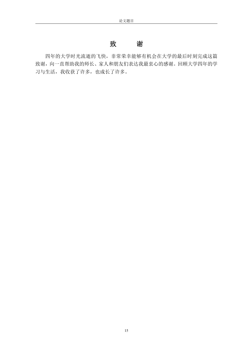### 致 谢

<span id="page-19-0"></span>四年的大学时光流逝的飞快,非常荣幸能够有机会在大学的最后时刻完成这篇 致谢,向一直帮助我的师长、家人和朋友们表达我最衷心的感谢。回顾大学四年的学 习与生活,我收获了许多,也成长了许多。